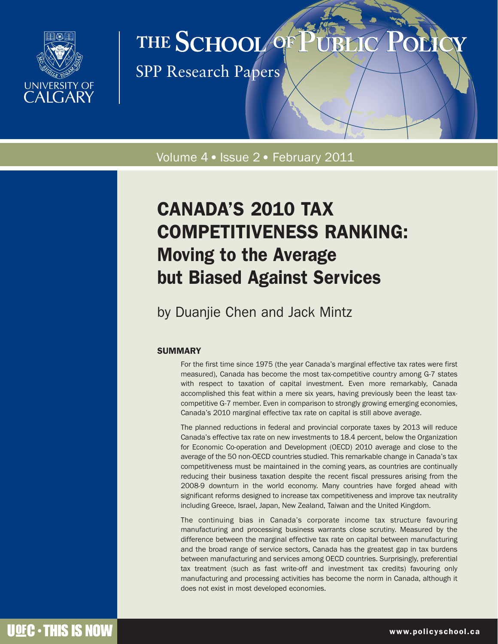

# THE SCHOOL OF

SPP Research Papers

### Volume 4 · Issue 2 · February 2011

## CANADA'S 2010 TAX COMPETITIVENESS RANKING: Moving to the Average but Biased Against Services

## by Duanjie Chen and Jack Mintz

#### **SUMMARY**

For the first time since 1975 (the year Canada's marginal effective tax rates were first measured), Canada has become the most tax-competitive country among G-7 states with respect to taxation of capital investment. Even more remarkably, Canada accomplished this feat within a mere six years, having previously been the least taxcompetitive G-7 member. Even in comparison to strongly growing emerging economies, Canada's 2010 marginal effective tax rate on capital is still above average.

The planned reductions in federal and provincial corporate taxes by 2013 will reduce Canada's effective tax rate on new investments to 18.4 percent, below the Organization for Economic Co-operation and Development (OECD) 2010 average and close to the average of the 50 non-OECD countries studied. This remarkable change in Canada's tax competitiveness must be maintained in the coming years, as countries are continually reducing their business taxation despite the recent fiscal pressures arising from the 2008-9 downturn in the world economy. Many countries have forged ahead with significant reforms designed to increase tax competitiveness and improve tax neutrality including Greece, Israel, Japan, New Zealand, Taiwan and the United Kingdom.

The continuing bias in Canada's corporate income tax structure favouring manufacturing and processing business warrants close scrutiny. Measured by the difference between the marginal effective tax rate on capital between manufacturing and the broad range of service sectors, Canada has the greatest gap in tax burdens between manufacturing and services among OECD countries. Surprisingly, preferential tax treatment (such as fast write-off and investment tax credits) favouring only manufacturing and processing activities has become the norm in Canada, although it does not exist in most developed economies.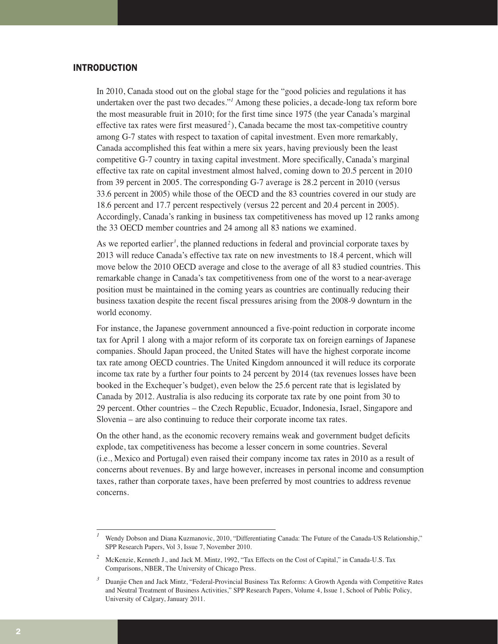#### INTRODUCTION

In 2010, Canada stood out on the global stage for the "good policies and regulations it has undertaken over the past two decades."*<sup>1</sup>* Among these policies, a decade-long tax reform bore the most measurable fruit in 2010; for the first time since 1975 (the year Canada's marginal effective tax rates were first measured*<sup>2</sup>* ), Canada became the most tax-competitive country among G-7 states with respect to taxation of capital investment. Even more remarkably, Canada accomplished this feat within a mere six years, having previously been the least competitive G-7 country in taxing capital investment. More specifically, Canada's marginal effective tax rate on capital investment almost halved, coming down to 20.5 percent in 2010 from 39 percent in 2005. The corresponding G-7 average is 28.2 percent in 2010 (versus 33.6 percent in 2005) while those of the OECD and the 83 countries covered in our study are 18.6 percent and 17.7 percent respectively (versus 22 percent and 20.4 percent in 2005). Accordingly, Canada's ranking in business tax competitiveness has moved up 12 ranks among the 33 OECD member countries and 24 among all 83 nations we examined.

As we reported earlier<sup>3</sup>, the planned reductions in federal and provincial corporate taxes by 2013 will reduce Canada's effective tax rate on new investments to 18.4 percent, which will move below the 2010 OECD average and close to the average of all 83 studied countries. This remarkable change in Canada's tax competitiveness from one of the worst to a near-average position must be maintained in the coming years as countries are continually reducing their business taxation despite the recent fiscal pressures arising from the 2008-9 downturn in the world economy.

For instance, the Japanese government announced a five-point reduction in corporate income tax for April 1 along with a major reform of its corporate tax on foreign earnings of Japanese companies. Should Japan proceed, the United States will have the highest corporate income tax rate among OECD countries. The United Kingdom announced it will reduce its corporate income tax rate by a further four points to 24 percent by 2014 (tax revenues losses have been booked in the Exchequer's budget), even below the 25.6 percent rate that is legislated by Canada by 2012. Australia is also reducing its corporate tax rate by one point from 30 to 29 percent. Other countries – the Czech Republic, Ecuador, Indonesia, Israel, Singapore and Slovenia – are also continuing to reduce their corporate income tax rates.

On the other hand, as the economic recovery remains weak and government budget deficits explode, tax competitiveness has become a lesser concern in some countries. Several (i.e., Mexico and Portugal) even raised their company income tax rates in 2010 as a result of concerns about revenues. By and large however, increases in personal income and consumption taxes, rather than corporate taxes, have been preferred by most countries to address revenue concerns.

*<sup>1</sup>* Wendy Dobson and Diana Kuzmanovic, 2010, "Differentiating Canada: The Future of the Canada-US Relationship," SPP Research Papers, Vol 3, Issue 7, November 2010.

*<sup>2</sup>* McKenzie, Kenneth J., and Jack M. Mintz, 1992, "Tax Effects on the Cost of Capital," in Canada-U.S. Tax Comparisons, NBER, The University of Chicago Press.

<sup>&</sup>lt;sup>3</sup> Duanjie Chen and Jack Mintz, "Federal-Provincial Business Tax Reforms: A Growth Agenda with Competitive Rates and Neutral Treatment of Business Activities," SPP Research Papers, Volume 4, Issue 1, School of Public Policy, University of Calgary, January 2011.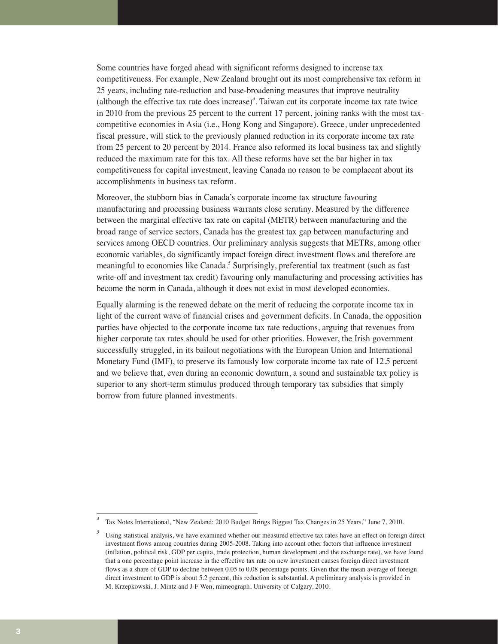Some countries have forged ahead with significant reforms designed to increase tax competitiveness. For example, New Zealand brought out its most comprehensive tax reform in 25 years, including rate-reduction and base-broadening measures that improve neutrality (although the effective tax rate does increase)*<sup>4</sup>* . Taiwan cut its corporate income tax rate twice in 2010 from the previous 25 percent to the current 17 percent, joining ranks with the most taxcompetitive economies in Asia (i.e., Hong Kong and Singapore). Greece, under unprecedented fiscal pressure, will stick to the previously planned reduction in its corporate income tax rate from 25 percent to 20 percent by 2014. France also reformed its local business tax and slightly reduced the maximum rate for this tax. All these reforms have set the bar higher in tax competitiveness for capital investment, leaving Canada no reason to be complacent about its accomplishments in business tax reform.

Moreover, the stubborn bias in Canada's corporate income tax structure favouring manufacturing and processing business warrants close scrutiny. Measured by the difference between the marginal effective tax rate on capital (METR) between manufacturing and the broad range of service sectors, Canada has the greatest tax gap between manufacturing and services among OECD countries. Our preliminary analysis suggests that METRs, among other economic variables, do significantly impact foreign direct investment flows and therefore are meaningful to economies like Canada.*<sup>5</sup>* Surprisingly, preferential tax treatment (such as fast write-off and investment tax credit) favouring only manufacturing and processing activities has become the norm in Canada, although it does not exist in most developed economies.

Equally alarming is the renewed debate on the merit of reducing the corporate income tax in light of the current wave of financial crises and government deficits. In Canada, the opposition parties have objected to the corporate income tax rate reductions, arguing that revenues from higher corporate tax rates should be used for other priorities. However, the Irish government successfully struggled, in its bailout negotiations with the European Union and International Monetary Fund (IMF), to preserve its famously low corporate income tax rate of 12.5 percent and we believe that, even during an economic downturn, a sound and sustainable tax policy is superior to any short-term stimulus produced through temporary tax subsidies that simply borrow from future planned investments.

Tax Notes International, "New Zealand: 2010 Budget Brings Biggest Tax Changes in 25 Years," June 7, 2010.

Using statistical analysis, we have examined whether our measured effective tax rates have an effect on foreign direct investment flows among countries during 2005-2008. Taking into account other factors that influence investment (inflation, political risk, GDP per capita, trade protection, human development and the exchange rate), we have found that a one percentage point increase in the effective tax rate on new investment causes foreign direct investment flows as a share of GDP to decline between 0.05 to 0.08 percentage points. Given that the mean average of foreign direct investment to GDP is about 5.2 percent, this reduction is substantial. A preliminary analysis is provided in M. Krzepkowski, J. Mintz and J-F Wen, mimeograph, University of Calgary, 2010.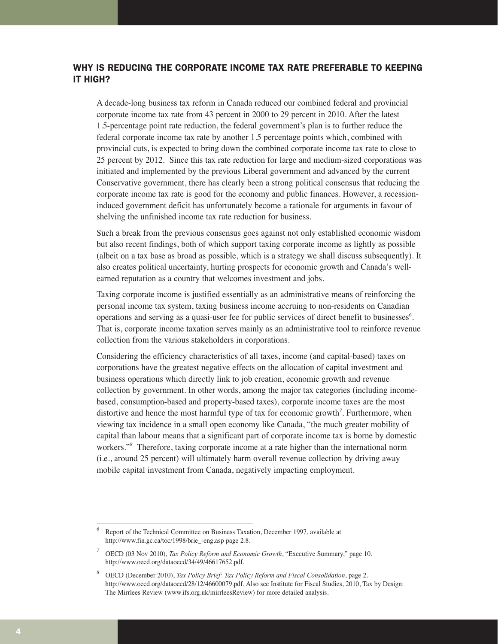#### WHY IS REDUCING THE CORPORATE INCOME TAX RATE PREFERABLE TO KEEPING IT HIGH?

A decade-long business tax reform in Canada reduced our combined federal and provincial corporate income tax rate from 43 percent in 2000 to 29 percent in 2010. After the latest 1.5-percentage point rate reduction, the federal government's plan is to further reduce the federal corporate income tax rate by another 1.5 percentage points which, combined with provincial cuts, is expected to bring down the combined corporate income tax rate to close to 25 percent by 2012. Since this tax rate reduction for large and medium-sized corporations was initiated and implemented by the previous Liberal government and advanced by the current Conservative government, there has clearly been a strong political consensus that reducing the corporate income tax rate is good for the economy and public finances. However, a recessioninduced government deficit has unfortunately become a rationale for arguments in favour of shelving the unfinished income tax rate reduction for business.

Such a break from the previous consensus goes against not only established economic wisdom but also recent findings, both of which support taxing corporate income as lightly as possible (albeit on a tax base as broad as possible, which is a strategy we shall discuss subsequently). It also creates political uncertainty, hurting prospects for economic growth and Canada's wellearned reputation as a country that welcomes investment and jobs.

Taxing corporate income is justified essentially as an administrative means of reinforcing the personal income tax system, taxing business income accruing to non-residents on Canadian operations and serving as a quasi-user fee for public services of direct benefit to businesses*<sup>6</sup>* . That is, corporate income taxation serves mainly as an administrative tool to reinforce revenue collection from the various stakeholders in corporations.

Considering the efficiency characteristics of all taxes, income (and capital-based) taxes on corporations have the greatest negative effects on the allocation of capital investment and business operations which directly link to job creation, economic growth and revenue collection by government. In other words, among the major tax categories (including incomebased, consumption-based and property-based taxes), corporate income taxes are the most distortive and hence the most harmful type of tax for economic growth*<sup>7</sup>* . Furthermore, when viewing tax incidence in a small open economy like Canada, "the much greater mobility of capital than labour means that a significant part of corporate income tax is borne by domestic workers."*<sup>8</sup>* Therefore, taxing corporate income at a rate higher than the international norm (i.e., around 25 percent) will ultimately harm overall revenue collection by driving away mobile capital investment from Canada, negatively impacting employment.

*<sup>6</sup>* Report of the Technical Committee on Business Taxation, December 1997, available at http://www.fin.gc.ca/toc/1998/brie\_-eng.asp page 2.8.

*<sup>7</sup>* OECD (03 Nov 2010), *Tax Policy Reform and Economic Growth*, "Executive Summary," page 10. http://www.oecd.org/dataoecd/34/49/46617652.pdf.

*<sup>8</sup>* OECD (December 2010), *Tax Policy Brief: Tax Policy Reform and Fiscal Consolidation*, page 2. http://www.oecd.org/dataoecd/28/12/46600079.pdf. Also see Institute for Fiscal Studies, 2010, Tax by Design: The Mirrlees Review (www.ifs.org.uk/mirrleesReview) for more detailed analysis.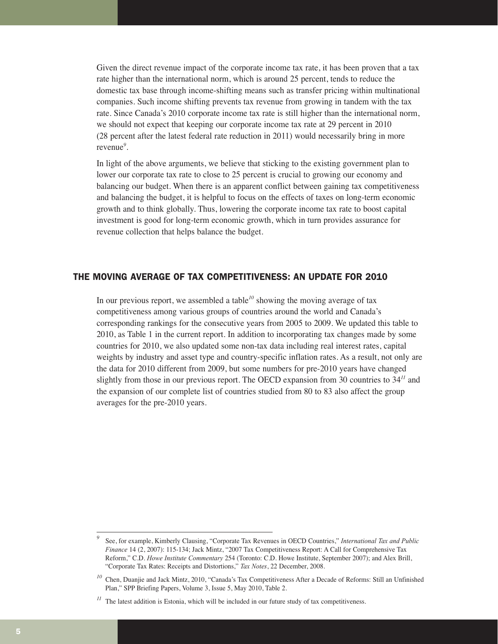Given the direct revenue impact of the corporate income tax rate, it has been proven that a tax rate higher than the international norm, which is around 25 percent, tends to reduce the domestic tax base through income-shifting means such as transfer pricing within multinational companies. Such income shifting prevents tax revenue from growing in tandem with the tax rate. Since Canada's 2010 corporate income tax rate is still higher than the international norm, we should not expect that keeping our corporate income tax rate at 29 percent in 2010 (28 percent after the latest federal rate reduction in 2011) would necessarily bring in more revenue*<sup>9</sup>* .

In light of the above arguments, we believe that sticking to the existing government plan to lower our corporate tax rate to close to 25 percent is crucial to growing our economy and balancing our budget. When there is an apparent conflict between gaining tax competitiveness and balancing the budget, it is helpful to focus on the effects of taxes on long-term economic growth and to think globally. Thus, lowering the corporate income tax rate to boost capital investment is good for long-term economic growth, which in turn provides assurance for revenue collection that helps balance the budget.

#### THE MOVING AVERAGE OF TAX COMPETITIVENESS: AN UPDATE FOR 2010

In our previous report, we assembled a table<sup> $10$ </sup> showing the moving average of tax competitiveness among various groups of countries around the world and Canada's corresponding rankings for the consecutive years from 2005 to 2009. We updated this table to 2010, as Table 1 in the current report. In addition to incorporating tax changes made by some countries for 2010, we also updated some non-tax data including real interest rates, capital weights by industry and asset type and country-specific inflation rates. As a result, not only are the data for 2010 different from 2009, but some numbers for pre-2010 years have changed slightly from those in our previous report. The OECD expansion from 30 countries to 34*<sup>11</sup>* and the expansion of our complete list of countries studied from 80 to 83 also affect the group averages for the pre-2010 years.

*<sup>9</sup>* See, for example, Kimberly Clausing, "Corporate Tax Revenues in OECD Countries," *International Tax and Public Finance* 14 (2, 2007): 115-134; Jack Mintz, "2007 Tax Competitiveness Report: A Call for Comprehensive Tax Reform," C.D. *Howe Institute Commentary* 254 (Toronto: C.D. Howe Institute, September 2007); and Alex Brill, "Corporate Tax Rates: Receipts and Distortions," *Tax Notes*, 22 December, 2008.

<sup>&</sup>lt;sup>10</sup> Chen, Duanjie and Jack Mintz, 2010, "Canada's Tax Competitiveness After a Decade of Reforms: Still an Unfinished Plan," SPP Briefing Papers, Volume 3, Issue 5, May 2010, Table 2.

<sup>&</sup>lt;sup>11</sup> The latest addition is Estonia, which will be included in our future study of tax competitiveness.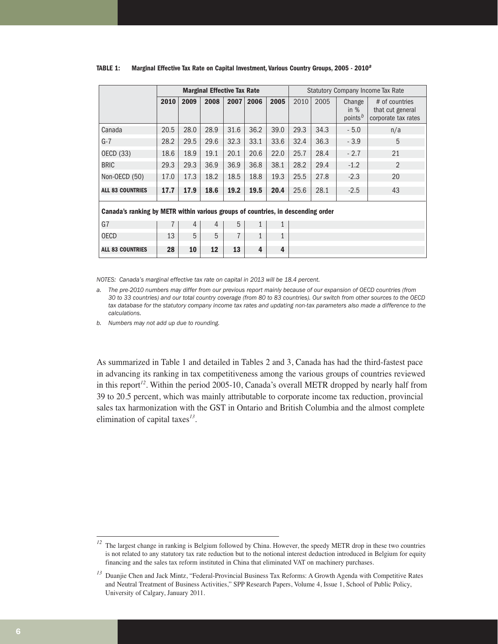|                                                                                  |      |      | <b>Marginal Effective Tax Rate</b> |      |              | <b>Statutory Company Income Tax Rate</b> |      |      |                                         |                                                           |  |
|----------------------------------------------------------------------------------|------|------|------------------------------------|------|--------------|------------------------------------------|------|------|-----------------------------------------|-----------------------------------------------------------|--|
|                                                                                  | 2010 | 2009 | 2008                               | 2007 | 2006         | 2005                                     | 2010 | 2005 | Change<br>in $%$<br>points <sup>b</sup> | # of countries<br>that cut general<br>corporate tax rates |  |
| Canada                                                                           | 20.5 | 28.0 | 28.9                               | 31.6 | 36.2         | 39.0                                     | 29.3 | 34.3 | $-5.0$                                  | n/a                                                       |  |
| G-7                                                                              | 28.2 | 29.5 | 29.6                               | 32.3 | 33.1         | 33.6                                     | 32.4 | 36.3 | $-3.9$                                  | 5                                                         |  |
| OECD (33)                                                                        | 18.6 | 18.9 | 19.1                               | 20.1 | 20.6         | 22.0                                     | 25.7 | 28.4 | $-2.7$                                  | 21                                                        |  |
| <b>BRIC</b>                                                                      | 29.3 | 29.3 | 36.9                               | 36.9 | 36.8         | 38.1                                     | 28.2 | 29.4 | $-1.2$                                  | $\overline{2}$                                            |  |
| Non-OECD (50)                                                                    | 17.0 | 17.3 | 18.2                               | 18.5 | 18.8         | 19.3                                     | 25.5 | 27.8 | $-2.3$                                  | 20                                                        |  |
| <b>ALL 83 COUNTRIES</b>                                                          | 17.7 | 17.9 | 18.6                               | 19.2 | 19.5         | 20.4                                     | 25.6 | 28.1 | $-2.5$                                  | 43                                                        |  |
| Canada's ranking by METR within various groups of countries, in descending order |      |      |                                    |      |              |                                          |      |      |                                         |                                                           |  |
| G7                                                                               |      | 4    | 4                                  | 5    | $\mathbf{1}$ | 1                                        |      |      |                                         |                                                           |  |
| <b>OECD</b>                                                                      | 13   | 5    | 5                                  | 7    | 1            | 1                                        |      |      |                                         |                                                           |  |
| <b>ALL 83 COUNTRIES</b>                                                          | 28   | 10   | 12                                 | 13   | 4            | $\overline{4}$                           |      |      |                                         |                                                           |  |

#### **TABLE 1: Marginal Effective Tax Rate on Capital Investment, Various Country Groups, 2005 - 2010**<sup>a</sup>

*NOTES: Canada's marginal effective tax rate on capital in 2013 will be 18.4 percent.*

*a. The pre-2010 numbers may differ from our previous report mainly because of our expansion of OECD countries (from 30 to 33 countries) and our total country coverage (from 80 to 83 countries). Our switch from other sources to the OECD tax database for the statutory company income tax rates and updating non-tax parameters also made a difference to the calculations.* 

*b. Numbers may not add up due to rounding.*

As summarized in Table 1 and detailed in Tables 2 and 3, Canada has had the third-fastest pace in advancing its ranking in tax competitiveness among the various groups of countries reviewed in this report*<sup>12</sup>*. Within the period 2005-10, Canada's overall METR dropped by nearly half from 39 to 20.5 percent, which was mainly attributable to corporate income tax reduction, provincial sales tax harmonization with the GST in Ontario and British Columbia and the almost complete elimination of capital taxes*<sup>13</sup>*.

<sup>&</sup>lt;sup>12</sup> The largest change in ranking is Belgium followed by China. However, the speedy METR drop in these two countries is not related to any statutory tax rate reduction but to the notional interest deduction introduced in Belgium for equity financing and the sales tax reform instituted in China that eliminated VAT on machinery purchases.

*<sup>13</sup>* Duanjie Chen and Jack Mintz, "Federal-Provincial Business Tax Reforms: A Growth Agenda with Competitive Rates and Neutral Treatment of Business Activities," SPP Research Papers, Volume 4, Issue 1, School of Public Policy, University of Calgary, January 2011.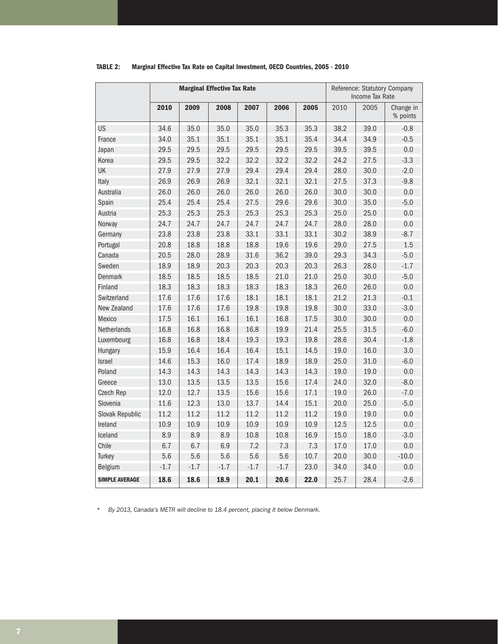|                       |        | <b>Marginal Effective Tax Rate</b> |        | Reference: Statutory Company<br>Income Tax Rate |        |      |      |      |                       |
|-----------------------|--------|------------------------------------|--------|-------------------------------------------------|--------|------|------|------|-----------------------|
|                       | 2010   | 2009                               | 2008   | 2007                                            | 2006   | 2005 | 2010 | 2005 | Change in<br>% points |
| US                    | 34.6   | 35.0                               | 35.0   | 35.0                                            | 35.3   | 35.3 | 38.2 | 39.0 | $-0.8$                |
| France                | 34.0   | 35.1                               | 35.1   | 35.1                                            | 35.1   | 35.4 | 34.4 | 34.9 | $-0.5$                |
| Japan                 | 29.5   | 29.5                               | 29.5   | 29.5                                            | 29.5   | 29.5 | 39.5 | 39.5 | 0.0                   |
| Korea                 | 29.5   | 29.5                               | 32.2   | 32.2                                            | 32.2   | 32.2 | 24.2 | 27.5 | $-3.3$                |
| UK                    | 27.9   | 27.9                               | 27.9   | 29.4                                            | 29.4   | 29.4 | 28.0 | 30.0 | $-2.0$                |
| Italy                 | 26.9   | 26.9                               | 26.9   | 32.1                                            | 32.1   | 32.1 | 27.5 | 37.3 | $-9.8$                |
| Australia             | 26.0   | 26.0                               | 26.0   | 26.0                                            | 26.0   | 26.0 | 30.0 | 30.0 | 0.0                   |
| Spain                 | 25.4   | 25.4                               | 25.4   | 27.5                                            | 29.6   | 29.6 | 30.0 | 35.0 | $-5.0$                |
| Austria               | 25.3   | 25.3                               | 25.3   | 25.3                                            | 25.3   | 25.3 | 25.0 | 25.0 | 0.0                   |
| Norway                | 24.7   | 24.7                               | 24.7   | 24.7                                            | 24.7   | 24.7 | 28.0 | 28.0 | 0.0                   |
| Germany               | 23.8   | 23.8                               | 23.8   | 33.1                                            | 33.1   | 33.1 | 30.2 | 38.9 | $-8.7$                |
| Portugal              | 20.8   | 18.8                               | 18.8   | 18.8                                            | 19.6   | 19.6 | 29.0 | 27.5 | 1.5                   |
| Canada                | 20.5   | 28.0                               | 28.9   | 31.6                                            | 36.2   | 39.0 | 29.3 | 34.3 | $-5.0$                |
| Sweden                | 18.9   | 18.9                               | 20.3   | 20.3                                            | 20.3   | 20.3 | 26.3 | 28.0 | $-1.7$                |
| <b>Denmark</b>        | 18.5   | 18.5                               | 18.5   | 18.5                                            | 21.0   | 21.0 | 25.0 | 30.0 | $-5.0$                |
| Finland               | 18.3   | 18.3                               | 18.3   | 18.3                                            | 18.3   | 18.3 | 26.0 | 26.0 | 0.0                   |
| Switzerland           | 17.6   | 17.6                               | 17.6   | 18.1                                            | 18.1   | 18.1 | 21.2 | 21.3 | $-0.1$                |
| New Zealand           | 17.6   | 17.6                               | 17.6   | 19.8                                            | 19.8   | 19.8 | 30.0 | 33.0 | $-3.0$                |
| Mexico                | 17.5   | 16.1                               | 16.1   | 16.1                                            | 16.8   | 17.5 | 30.0 | 30.0 | 0.0                   |
| Netherlands           | 16.8   | 16.8                               | 16.8   | 16.8                                            | 19.9   | 21.4 | 25.5 | 31.5 | $-6.0$                |
| Luxembourg            | 16.8   | 16.8                               | 18.4   | 19.3                                            | 19.3   | 19.8 | 28.6 | 30.4 | $-1.8$                |
| Hungary               | 15.9   | 16.4                               | 16.4   | 16.4                                            | 15.1   | 14.5 | 19.0 | 16.0 | 3.0                   |
| <b>Israel</b>         | 14.6   | 15.3                               | 16.0   | 17.4                                            | 18.9   | 18.9 | 25.0 | 31.0 | $-6.0$                |
| Poland                | 14.3   | 14.3                               | 14.3   | 14.3                                            | 14.3   | 14.3 | 19.0 | 19.0 | 0.0                   |
| Greece                | 13.0   | 13.5                               | 13.5   | 13.5                                            | 15.6   | 17.4 | 24.0 | 32.0 | $-8.0$                |
| Czech Rep             | 12.0   | 12.7                               | 13.5   | 15.6                                            | 15.6   | 17.1 | 19.0 | 26.0 | $-7.0$                |
| Slovenia              | 11.6   | 12.3                               | 13.0   | 13.7                                            | 14.4   | 15.1 | 20.0 | 25.0 | $-5.0$                |
| Slovak Republic       | 11.2   | 11.2                               | 11.2   | 11.2                                            | 11.2   | 11.2 | 19.0 | 19.0 | 0.0                   |
| Ireland               | 10.9   | 10.9                               | 10.9   | 10.9                                            | 10.9   | 10.9 | 12.5 | 12.5 | 0.0                   |
| Iceland               | 8.9    | 8.9                                | 8.9    | 10.8                                            | 10.8   | 16.9 | 15.0 | 18.0 | $-3.0$                |
| Chile                 | 6.7    | 6.7                                | 6.9    | 7.2                                             | 7.3    | 7.3  | 17.0 | 17.0 | 0.0                   |
| <b>Turkey</b>         | 5.6    | 5.6                                | 5.6    | 5.6                                             | 5.6    | 10.7 | 20.0 | 30.0 | $-10.0$               |
| <b>Belgium</b>        | $-1.7$ | $-1.7$                             | $-1.7$ | $-1.7$                                          | $-1.7$ | 23.0 | 34.0 | 34.0 | 0.0                   |
| <b>SIMPLE AVERAGE</b> | 18.6   | 18.6                               | 18.9   | 20.1                                            | 20.6   | 22.0 | 25.7 | 28.4 | $-2.6$                |

#### **TABLE 2: Marginal Effective Tax Rate on Capital Investment, OECD Countries, 2005 - 2010**

*\* By 2013, Canada's METR will decline to 18.4 percent, placing it below Denmark.*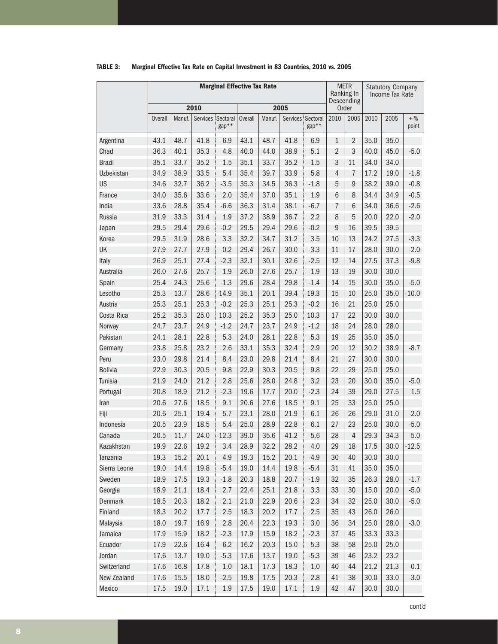|                   | <b>Marginal Effective Tax Rate</b> |        |                   |         |                |        |          |                   |                | <b>METR</b><br>Ranking In<br>Descending |      | <b>Statutory Company</b><br>Income Tax Rate |                  |
|-------------------|------------------------------------|--------|-------------------|---------|----------------|--------|----------|-------------------|----------------|-----------------------------------------|------|---------------------------------------------|------------------|
|                   |                                    |        | 2010              |         |                |        | 2005     |                   |                | Order                                   |      |                                             |                  |
|                   | <b>Overall</b>                     | Manuf. | Services Sectoral | gap**   | <b>Overall</b> | Manuf. | Services | Sectoral<br>gap** | 2010           | 2005                                    | 2010 | 2005                                        | $+ -\%$<br>point |
| Argentina         | 43.1                               | 48.7   | 41.8              | 6.9     | 43.1           | 48.7   | 41.8     | 6.9               | $\mathbf{1}$   | $\overline{2}$                          | 35.0 | 35.0                                        |                  |
| Chad              | 36.3                               | 40.1   | 35.3              | 4.8     | 40.0           | 44.0   | 38.9     | 5.1               | $\overline{2}$ | 3                                       | 40.0 | 45.0                                        | $-5.0$           |
| <b>Brazil</b>     | 35.1                               | 33.7   | 35.2              | $-1.5$  | 35.1           | 33.7   | 35.2     | $-1.5$            | 3              | 11                                      | 34.0 | 34.0                                        |                  |
| <b>Uzbekistan</b> | 34.9                               | 38.9   | 33.5              | 5.4     | 35.4           | 39.7   | 33.9     | 5.8               | $\overline{4}$ | $\overline{7}$                          | 17.2 | 19.0                                        | $-1.8$           |
| US                | 34.6                               | 32.7   | 36.2              | $-3.5$  | 35.3           | 34.5   | 36.3     | $-1.8$            | 5              | 9                                       | 38.2 | 39.0                                        | $-0.8$           |
| France            | 34.0                               | 35.6   | 33.6              | 2.0     | 35.4           | 37.0   | 35.1     | 1.9               | 6              | 8                                       | 34.4 | 34.9                                        | $-0.5$           |
| India             | 33.6                               | 28.8   | 35.4              | $-6.6$  | 36.3           | 31.4   | 38.1     | $-6.7$            | $\overline{7}$ | 6                                       | 34.0 | 36.6                                        | $-2.6$           |
| <b>Russia</b>     | 31.9                               | 33.3   | 31.4              | 1.9     | 37.2           | 38.9   | 36.7     | 2.2               | 8              | 5                                       | 20.0 | 22.0                                        | $-2.0$           |
| Japan             | 29.5                               | 29.4   | 29.6              | $-0.2$  | 29.5           | 29.4   | 29.6     | $-0.2$            | 9              | 16                                      | 39.5 | 39.5                                        |                  |
| Korea             | 29.5                               | 31.9   | 28.6              | 3.3     | 32.2           | 34.7   | 31.2     | 3.5               | 10             | 13                                      | 24.2 | 27.5                                        | $-3.3$           |
| UK                | 27.9                               | 27.7   | 27.9              | $-0.2$  | 29.4           | 26.7   | 30.0     | $-3.3$            | 11             | 17                                      | 28.0 | 30.0                                        | $-2.0$           |
| Italy             | 26.9                               | 25.1   | 27.4              | $-2.3$  | 32.1           | 30.1   | 32.6     | $-2.5$            | 12             | 14                                      | 27.5 | 37.3                                        | $-9.8$           |
| Australia         | 26.0                               | 27.6   | 25.7              | 1.9     | 26.0           | 27.6   | 25.7     | 1.9               | 13             | 19                                      | 30.0 | 30.0                                        |                  |
| Spain             | 25.4                               | 24.3   | 25.6              | $-1.3$  | 29.6           | 28.4   | 29.8     | $-1.4$            | 14             | 15                                      | 30.0 | 35.0                                        | $-5.0$           |
| Lesotho           | 25.3                               | 13.7   | 28.6              | $-14.9$ | 35.1           | 20.1   | 39.4     | $-19.3$           | 15             | 10                                      | 25.0 | 35.0                                        | $-10.0$          |
| Austria           | 25.3                               | 25.1   | 25.3              | $-0.2$  | 25.3           | 25.1   | 25.3     | $-0.2$            | 16             | 21                                      | 25.0 | 25.0                                        |                  |
| Costa Rica        | 25.2                               | 35.3   | 25.0              | 10.3    | 25.2           | 35.3   | 25.0     | 10.3              | 17             | 22                                      | 30.0 | 30.0                                        |                  |
| Norway            | 24.7                               | 23.7   | 24.9              | $-1.2$  | 24.7           | 23.7   | 24.9     | $-1.2$            | 18             | 24                                      | 28.0 | 28.0                                        |                  |
| Pakistan          | 24.1                               | 28.1   | 22.8              | 5.3     | 24.0           | 28.1   | 22.8     | 5.3               | 19             | 25                                      | 35.0 | 35.0                                        |                  |
| Germany           | 23.8                               | 25.8   | 23.2              | 2.6     | 33.1           | 35.3   | 32.4     | 2.9               | 20             | 12                                      | 30.2 | 38.9                                        | $-8.7$           |
| Peru              | 23.0                               | 29.8   | 21.4              | 8.4     | 23.0           | 29.8   | 21.4     | 8.4               | 21             | 27                                      | 30.0 | 30.0                                        |                  |
| <b>Bolivia</b>    | 22.9                               | 30.3   | 20.5              | 9.8     | 22.9           | 30.3   | 20.5     | 9.8               | 22             | 29                                      | 25.0 | 25.0                                        |                  |
| Tunisia           | 21.9                               | 24.0   | 21.2              | 2.8     | 25.6           | 28.0   | 24.8     | 3.2               | 23             | 20                                      | 30.0 | 35.0                                        | $-5.0$           |
| Portugal          | 20.8                               | 18.9   | 21.2              | $-2.3$  | 19.6           | 17.7   | 20.0     | $-2.3$            | 24             | 39                                      | 29.0 | 27.5                                        | 1.5              |
| Iran              | 20.6                               | 27.6   | 18.5              | 9.1     | 20.6           | 27.6   | 18.5     | 9.1               | 25             | 33                                      | 25.0 | 25.0                                        |                  |
| Fiji              | 20.6                               | 25.1   | 19.4              | 5.7     | 23.1           | 28.0   | 21.9     | 6.1               | 26             | 26                                      | 29.0 | 31.0                                        | $-2.0$           |
| Indonesia         | 20.5                               | 23.9   | 18.5              | 5.4     | 25.0           | 28.9   | 22.8     | 6.1               | 27             | 23                                      | 25.0 | 30.0                                        | $-5.0$           |
| Canada            | 20.5                               | 11.7   | 24.0              | $-12.3$ | 39.0           | 35.6   | 41.2     | $-5.6$            | 28             | $\overline{4}$                          | 29.3 | 34.3                                        | $-5.0$           |
| Kazakhstan        | 19.9                               | 22.6   | 19.2              | 3.4     | 28.9           | 32.2   | 28.2     | 4.0               | 29             | 18                                      | 17.5 | 30.0                                        | $-12.5$          |
| Tanzania          | 19.3                               | 15.2   | 20.1              | $-4.9$  | 19.3           | 15.2   | 20.1     | $-4.9$            | 30             | 40                                      | 30.0 | 30.0                                        |                  |
| Sierra Leone      | 19.0                               | 14.4   | 19.8              | $-5.4$  | 19.0           | 14.4   | 19.8     | $-5.4$            | 31             | 41                                      | 35.0 | 35.0                                        |                  |
| Sweden            | 18.9                               | 17.5   | 19.3              | $-1.8$  | 20.3           | 18.8   | 20.7     | $-1.9$            | 32             | 35                                      | 26.3 | 28.0                                        | $-1.7$           |
| Georgia           | 18.9                               | 21.1   | 18.4              | 2.7     | 22.4           | 25.1   | 21.8     | 3.3               | 33             | 30                                      | 15.0 | 20.0                                        | $-5.0$           |
| Denmark           | 18.5                               | 20.3   | 18.2              | 2.1     | 21.0           | 22.9   | 20.6     | 2.3               | 34             | 32                                      | 25.0 | 30.0                                        | $-5.0$           |
| Finland           | 18.3                               | 20.2   | 17.7              | 2.5     | 18.3           | 20.2   | 17.7     | 2.5               | 35             | 43                                      | 26.0 | 26.0                                        |                  |
| Malaysia          | 18.0                               | 19.7   | 16.9              | 2.8     | 20.4           | 22.3   | 19.3     | 3.0               | 36             | 34                                      | 25.0 | 28.0                                        | $-3.0$           |
| Jamaica           | 17.9                               | 15.9   | 18.2              | $-2.3$  | 17.9           | 15.9   | 18.2     | $-2.3$            | 37             | 45                                      | 33.3 | 33.3                                        |                  |
| Ecuador           | 17.9                               | 22.6   | 16.4              | 6.2     | 16.2           | 20.3   | 15.0     | 5.3               | 38             | 58                                      | 25.0 | 25.0                                        |                  |
| Jordan            | 17.6                               | 13.7   | 19.0              | $-5.3$  | 17.6           | 13.7   | 19.0     | $-5.3$            | 39             | 46                                      | 23.2 | 23.2                                        |                  |
| Switzerland       | 17.6                               | 16.8   | 17.8              | $-1.0$  | 18.1           | 17.3   | 18.3     | $-1.0$            | 40             | 44                                      | 21.2 | 21.3                                        | $-0.1$           |
| New Zealand       | 17.6                               | 15.5   | 18.0              | $-2.5$  | 19.8           | 17.5   | 20.3     | $-2.8$            | 41             | 38                                      | 30.0 | 33.0                                        | $-3.0$           |
| Mexico            | 17.5                               | 19.0   | 17.1              | 1.9     | 17.5           | 19.0   | 17.1     | 1.9               | 42             | 47                                      | 30.0 | 30.0                                        |                  |

#### **TABLE 3: Marginal Effective Tax Rate on Capital Investment in 83 Countries, 2010 vs. 2005**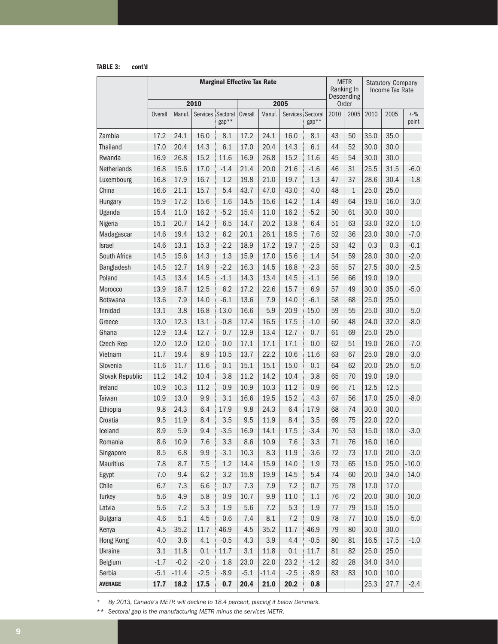**TABLE 3: cont'd**

|                     | <b>Marginal Effective Tax Rate</b> |              |                   |             |                |              |             |                            |          | <b>METR</b><br>Ranking In<br>Descending |              | <b>Statutory Company</b><br>Income Tax Rate |                           |
|---------------------|------------------------------------|--------------|-------------------|-------------|----------------|--------------|-------------|----------------------------|----------|-----------------------------------------|--------------|---------------------------------------------|---------------------------|
|                     |                                    |              | 2010              |             |                |              | 2005        |                            |          | Order                                   |              |                                             |                           |
|                     | <b>Overall</b>                     | Manuf.       | Services Sectoral | gap**       | <b>Overall</b> | Manuf.       |             | Services Sectoral<br>gap** | 2010     | 2005                                    | 2010         | 2005                                        | $+ -\frac{9}{6}$<br>point |
| Zambia              | 17.2                               | 24.1         | 16.0              | 8.1         | 17.2           | 24.1         | 16.0        | 8.1                        | 43       | 50                                      | 35.0         | 35.0                                        |                           |
| <b>Thailand</b>     | 17.0                               | 20.4         | 14.3              | 6.1         | 17.0           | 20.4         | 14.3        | 6.1                        | 44       | 52                                      | 30.0         | 30.0                                        |                           |
| Rwanda              | 16.9                               | 26.8         | 15.2              | 11.6        | 16.9           | 26.8         | 15.2        | 11.6                       | 45       | 54                                      | 30.0         | 30.0                                        |                           |
| Netherlands         | 16.8                               | 15.6         | 17.0              | $-1.4$      | 21.4           | 20.0         | 21.6        | $-1.6$                     | 46       | 31                                      | 25.5         | 31.5                                        | $-6.0$                    |
| Luxembourg          | 16.8                               | 17.9         | 16.7              | 1.2         | 19.8           | 21.0         | 19.7        | 1.3                        | 47       | 37                                      | 28.6         | 30.4                                        | $-1.8$                    |
| China               | 16.6                               | 21.1         | 15.7              | 5.4         | 43.7           | 47.0         | 43.0        | 4.0                        | 48       | $\mathbf{1}$                            | 25.0         | 25.0                                        |                           |
| Hungary             | 15.9                               | 17.2         | 15.6              | 1.6         | 14.5           | 15.6         | 14.2        | 1.4                        | 49       | 64                                      | 19.0         | 16.0                                        | 3.0                       |
| Uganda              | 15.4                               | 11.0         | 16.2              | $-5.2$      | 15.4           | 11.0         | 16.2        | $-5.2$                     | 50       | 61                                      | 30.0         | 30.0                                        |                           |
| Nigeria             | 15.1                               | 20.7         | 14.2              | 6.5         | 14.7           | 20.2         | 13.8        | 6.4                        | 51       | 63                                      | 33.0         | 32.0                                        | 1.0                       |
| Madagascar          | 14.6                               | 19.4         | 13.2              | 6.2         | 20.1           | 26.1         | 18.5        | 7.6                        | 52       | 36                                      | 23.0         | 30.0                                        | $-7.0$                    |
| Israel              | 14.6                               | 13.1         | 15.3              | $-2.2$      | 18.9           | 17.2         | 19.7        | $-2.5$                     | 53       | 42                                      | 0.3          | 0.3                                         | $-0.1$                    |
| South Africa        | 14.5                               | 15.6         | 14.3              | 1.3         | 15.9           | 17.0         | 15.6        | 1.4                        | 54       | 59                                      | 28.0         | 30.0                                        | $-2.0$                    |
| Bangladesh          | 14.5                               | 12.7         | 14.9              | $-2.2$      | 16.3           | 14.5         | 16.8        | $-2.3$                     | 55       | 57                                      | 27.5         | 30.0                                        | $-2.5$                    |
| Poland              | 14.3                               | 13.4         | 14.5              | $-1.1$      | 14.3           | 13.4         | 14.5        | $-1.1$                     | 56       | 66                                      | 19.0         | 19.0                                        |                           |
| Morocco             | 13.9                               | 18.7         | 12.5              | 6.2         | 17.2           | 22.6         | 15.7        | 6.9                        | 57       | 49                                      | 30.0         | 35.0                                        | $-5.0$                    |
| <b>Botswana</b>     | 13.6                               | 7.9          | 14.0              | $-6.1$      | 13.6           | 7.9          | 14.0        | $-6.1$                     | 58       | 68                                      | 25.0         | 25.0                                        |                           |
| <b>Trinidad</b>     | 13.1                               | 3.8          | 16.8              | $-13.0$     | 16.6           | 5.9          | 20.9        | $-15.0$                    | 59       | 55                                      | 25.0         | 30.0                                        | $-5.0$                    |
| Greece              | 13.0                               | 12.3         | 13.1              | $-0.8$      | 17.4           | 16.5         | 17.5        | $-1.0$                     | 60       | 48                                      | 24.0         | 32.0                                        | $-8.0$                    |
| Ghana               | 12.9                               | 13.4         | 12.7              | 0.7         | 12.9           | 13.4         | 12.7        | 0.7                        | 61       | 69                                      | 25.0         | 25.0                                        |                           |
| Czech Rep           | 12.0                               | 12.0         | 12.0              | 0.0         | 17.1           | 17.1         | 17.1        | 0.0                        | 62       | 51                                      | 19.0         | 26.0                                        | $-7.0$                    |
| Vietnam             | 11.7                               | 19.4         | 8.9               | 10.5        | 13.7           | 22.2         | 10.6        | 11.6                       | 63       | 67                                      | 25.0         | 28.0                                        | $-3.0$                    |
| Slovenia            | 11.6                               | 11.7         | 11.6              | 0.1         | 15.1           | 15.1         | 15.0        | 0.1                        | 64       | 62                                      | 20.0         | 25.0                                        | $-5.0$                    |
| Slovak Republic     | 11.2                               | 14.2         | 10.4              | 3.8         | 11.2           | 14.2         | 10.4        | 3.8                        | 65       | 70                                      | 19.0         | 19.0                                        |                           |
| Ireland             | 10.9                               | 10.3         | 11.2              | $-0.9$      | 10.9           | 10.3         | 11.2        | $-0.9$                     | 66       | 71                                      | 12.5         | 12.5                                        |                           |
| Taiwan              | 10.9<br>9.8                        | 13.0<br>24.3 | 9.9<br>6.4        | 3.1<br>17.9 | 16.6<br>9.8    | 19.5<br>24.3 | 15.2<br>6.4 | 4.3<br>17.9                | 67<br>68 | 56<br>74                                | 17.0<br>30.0 | 25.0<br>30.0                                | $-8.0$                    |
| Ethiopia<br>Croatia | 9.5                                | 11.9         | 8.4               | 3.5         | 9.5            | 11.9         | 8.4         | 3.5                        | 69       | 75                                      | 22.0         | 22.0                                        |                           |
| Iceland             | 8.9                                | 5.9          | 9.4               | $-3.5$      | 16.9           | 14.1         | 17.5        | $-3.4$                     | 70       | 53                                      | 15.0         | 18.0                                        | $-3.0$                    |
| Romania             | 8.6                                | 10.9         | $7.6\,$           | 3.3         | $8.6\,$        | 10.9         | 7.6         | 3.3                        | $71\,$   | 76                                      | 16.0         | 16.0                                        |                           |
| Singapore           | 8.5                                | 6.8          | 9.9               | $-3.1$      | 10.3           | 8.3          | 11.9        | $-3.6$                     | 72       | 73                                      | 17.0         | 20.0                                        | $-3.0$                    |
| <b>Mauritius</b>    | 7.8                                | 8.7          | 7.5               | 1.2         | 14.4           | 15.9         | 14.0        | 1.9                        | 73       | 65                                      | 15.0         | 25.0                                        | $-10.0$                   |
| Egypt               | $7.0\,$                            | 9.4          | 6.2               | 3.2         | 15.8           | 19.9         | 14.5        | 5.4                        | 74       | 60                                      | 20.0         | 34.0                                        | $-14.0$                   |
| Chile               | 6.7                                | 7.3          | 6.6               | 0.7         | 7.3            | 7.9          | 7.2         | 0.7                        | 75       | 78                                      | 17.0         | 17.0                                        |                           |
| Turkey              | 5.6                                | 4.9          | 5.8               | $-0.9$      | 10.7           | 9.9          | 11.0        | $-1.1$                     | 76       | 72                                      | 20.0         | 30.0                                        | $-10.0$                   |
| Latvia              | 5.6                                | 7.2          | 5.3               | 1.9         | 5.6            | 7.2          | 5.3         | 1.9                        | 77       | 79                                      | 15.0         | 15.0                                        |                           |
| <b>Bulgaria</b>     | 4.6                                | 5.1          | 4.5               | 0.6         | 7.4            | 8.1          | 7.2         | 0.9                        | 78       | 77                                      | 10.0         | 15.0                                        | $-5.0$                    |
| Kenya               | 4.5                                | $-35.2$      | 11.7              | $-46.9$     | 4.5            | $-35.2$      | 11.7        | $-46.9$                    | 79       | 80                                      | 30.0         | 30.0                                        |                           |
| Hong Kong           | 4.0                                | 3.6          | 4.1               | $-0.5$      | 4.3            | 3.9          | 4.4         | $-0.5$                     | 80       | 81                                      | 16.5         | 17.5                                        | $-1.0$                    |
| Ukraine             | 3.1                                | 11.8         | 0.1               | 11.7        | 3.1            | 11.8         | 0.1         | 11.7                       | 81       | 82                                      | 25.0         | 25.0                                        |                           |
| <b>Belgium</b>      | $-1.7$                             | $-0.2$       | $-2.0$            | 1.8         | 23.0           | 22.0         | 23.2        | $-1.2$                     | 82       | 28                                      | 34.0         | 34.0                                        |                           |
| Serbia              | $-5.1$                             | $-11.4$      | $-2.5$            | $-8.9$      | $-5.1$         | $-11.4$      | $-2.5$      | $-8.9$                     | 83       | 83                                      | 10.0         | 10.0                                        |                           |
| <b>AVERAGE</b>      | 17.7                               | 18.2         | 17.5              | 0.7         | 20.4           | 21.0         | 20.2        | 0.8                        |          |                                         | 25.3         | 27.7                                        | $-2.4$                    |

*\* By 2013, Canada's METR will decline to 18.4 percent, placing it below Denmark.* 

*\*\* Sectoral gap is the manufacturing METR minus the services METR.*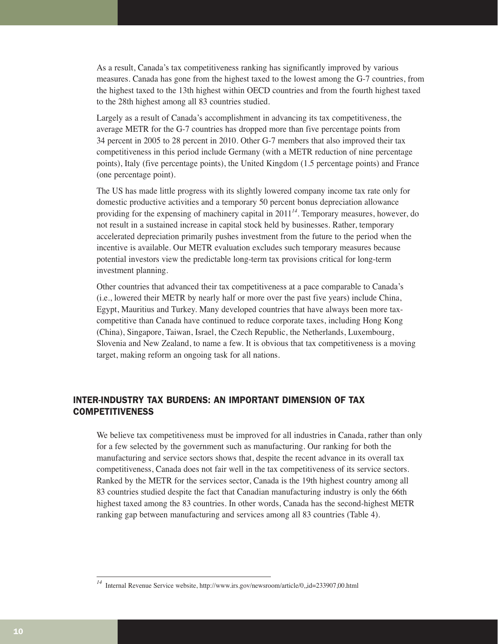As a result, Canada's tax competitiveness ranking has significantly improved by various measures. Canada has gone from the highest taxed to the lowest among the G-7 countries, from the highest taxed to the 13th highest within OECD countries and from the fourth highest taxed to the 28th highest among all 83 countries studied.

Largely as a result of Canada's accomplishment in advancing its tax competitiveness, the average METR for the G-7 countries has dropped more than five percentage points from 34 percent in 2005 to 28 percent in 2010. Other G-7 members that also improved their tax competitiveness in this period include Germany (with a METR reduction of nine percentage points), Italy (five percentage points), the United Kingdom (1.5 percentage points) and France (one percentage point).

The US has made little progress with its slightly lowered company income tax rate only for domestic productive activities and a temporary 50 percent bonus depreciation allowance providing for the expensing of machinery capital in 2011*<sup>14</sup>*. Temporary measures, however, do not result in a sustained increase in capital stock held by businesses. Rather, temporary accelerated depreciation primarily pushes investment from the future to the period when the incentive is available. Our METR evaluation excludes such temporary measures because potential investors view the predictable long-term tax provisions critical for long-term investment planning.

Other countries that advanced their tax competitiveness at a pace comparable to Canada's (i.e., lowered their METR by nearly half or more over the past five years) include China, Egypt, Mauritius and Turkey. Many developed countries that have always been more taxcompetitive than Canada have continued to reduce corporate taxes, including Hong Kong (China), Singapore, Taiwan, Israel, the Czech Republic, the Netherlands, Luxembourg, Slovenia and New Zealand, to name a few. It is obvious that tax competitiveness is a moving target, making reform an ongoing task for all nations.

#### INTER-INDUSTRY TAX BURDENS: AN IMPORTANT DIMENSION OF TAX **COMPETITIVENESS**

We believe tax competitiveness must be improved for all industries in Canada, rather than only for a few selected by the government such as manufacturing. Our ranking for both the manufacturing and service sectors shows that, despite the recent advance in its overall tax competitiveness, Canada does not fair well in the tax competitiveness of its service sectors. Ranked by the METR for the services sector, Canada is the 19th highest country among all 83 countries studied despite the fact that Canadian manufacturing industry is only the 66th highest taxed among the 83 countries. In other words, Canada has the second-highest METR ranking gap between manufacturing and services among all 83 countries (Table 4).

*<sup>14</sup>* Internal Revenue Service website, http://www.irs.gov/newsroom/article/0,,id=233907,00.html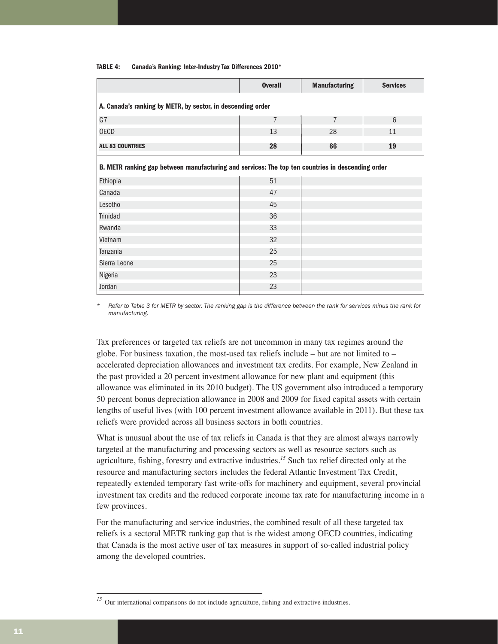|                                                                                                   | <b>Overall</b> | <b>Manufacturing</b> | <b>Services</b> |  |  |  |  |  |  |  |  |
|---------------------------------------------------------------------------------------------------|----------------|----------------------|-----------------|--|--|--|--|--|--|--|--|
| A. Canada's ranking by METR, by sector, in descending order                                       |                |                      |                 |  |  |  |  |  |  |  |  |
| G7                                                                                                | $\overline{7}$ | $\overline{7}$       | 6               |  |  |  |  |  |  |  |  |
| <b>OECD</b>                                                                                       | 13             | 28                   | 11              |  |  |  |  |  |  |  |  |
| <b>ALL 83 COUNTRIES</b>                                                                           | 28             | 66                   | 19              |  |  |  |  |  |  |  |  |
| B. METR ranking gap between manufacturing and services: The top ten countries in descending order |                |                      |                 |  |  |  |  |  |  |  |  |
| Ethiopia                                                                                          | 51             |                      |                 |  |  |  |  |  |  |  |  |
| Canada                                                                                            | 47             |                      |                 |  |  |  |  |  |  |  |  |
| Lesotho                                                                                           | 45             |                      |                 |  |  |  |  |  |  |  |  |
| <b>Trinidad</b>                                                                                   | 36             |                      |                 |  |  |  |  |  |  |  |  |
| Rwanda                                                                                            | 33             |                      |                 |  |  |  |  |  |  |  |  |
| Vietnam                                                                                           | 32             |                      |                 |  |  |  |  |  |  |  |  |
| Tanzania                                                                                          | 25             |                      |                 |  |  |  |  |  |  |  |  |
| Sierra Leone                                                                                      | 25             |                      |                 |  |  |  |  |  |  |  |  |
| Nigeria                                                                                           | 23             |                      |                 |  |  |  |  |  |  |  |  |
| Jordan                                                                                            | 23             |                      |                 |  |  |  |  |  |  |  |  |

#### **TABLE 4: Canada's Ranking: Inter-Industry Tax Differences 2010\***

*\* Refer to Table 3 for METR by sector. The ranking gap is the difference between the rank for services minus the rank for manufacturing.* 

Tax preferences or targeted tax reliefs are not uncommon in many tax regimes around the globe. For business taxation, the most-used tax reliefs include – but are not limited to – accelerated depreciation allowances and investment tax credits. For example, New Zealand in the past provided a 20 percent investment allowance for new plant and equipment (this allowance was eliminated in its 2010 budget). The US government also introduced a temporary 50 percent bonus depreciation allowance in 2008 and 2009 for fixed capital assets with certain lengths of useful lives (with 100 percent investment allowance available in 2011). But these tax reliefs were provided across all business sectors in both countries.

What is unusual about the use of tax reliefs in Canada is that they are almost always narrowly targeted at the manufacturing and processing sectors as well as resource sectors such as agriculture, fishing, forestry and extractive industries.*<sup>15</sup>* Such tax relief directed only at the resource and manufacturing sectors includes the federal Atlantic Investment Tax Credit, repeatedly extended temporary fast write-offs for machinery and equipment, several provincial investment tax credits and the reduced corporate income tax rate for manufacturing income in a few provinces.

For the manufacturing and service industries, the combined result of all these targeted tax reliefs is a sectoral METR ranking gap that is the widest among OECD countries, indicating that Canada is the most active user of tax measures in support of so-called industrial policy among the developed countries.

<sup>&</sup>lt;sup>15</sup> Our international comparisons do not include agriculture, fishing and extractive industries.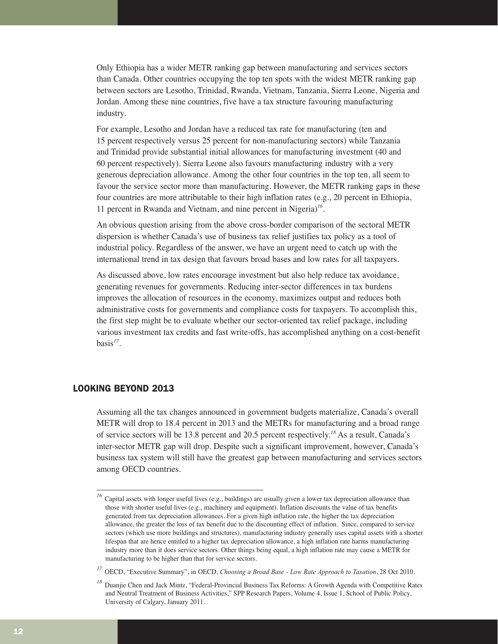Only Ethiopia has a wider METR ranking gap between manufacturing and services sectors than Canada. Other countries occupying the top ten spots with the widest METR ranking gap between sectors are Lesotho, Trinidad, Rwanda, Vietnam, Tanzania, Sierra Leone, Nigeria and Jordan. Among these nine countries, five have a tax structure favouring manufacturing industry.

For example, Lesotho and Jordan have a reduced tax rate for manufacturing (ten and 15 percent respectively versus 25 percent for non-manufacturing sectors) while Tanzania and Trinidad provide substantial initial allowances for manufacturing investment (40 and 60 percent respectively). Sierra Leone also favours manufacturing industry with a very generous depreciation allowance. Among the other four countries in the top ten, all seem to favour the service sector more than manufacturing. However, the METR ranking gaps in these four countries are more attributable to their high inflation rates (e.g., 20 percent in Ethiopia, 11 percent in Rwanda and Vietnam, and nine percent in Nigeria)*<sup>16</sup>*.

An obvious question arising from the above cross-border comparison of the sectoral METR dispersion is whether Canada's use of business tax relief justifies tax policy as a tool of industrial policy. Regardless of the answer, we have an urgent need to catch up with the international trend in tax design that favours broad bases and low rates for all taxpayers.

As discussed above, low rates encourage investment but also help reduce tax avoidance, generating revenues for governments. Reducing inter-sector differences in tax burdens improves the allocation of resources in the economy, maximizes output and reduces both administrative costs for governments and compliance costs for taxpayers. To accomplish this, the first step might be to evaluate whether our sector-oriented tax relief package, including various investment tax credits and fast write-offs, has accomplished anything on a cost-benefit basis*<sup>17</sup>*.

#### LOOKING BEYOND 2013

Assuming all the tax changes announced in government budgets materialize, Canada's overall METR will drop to 18.4 percent in 2013 and the METRs for manufacturing and a broad range of service sectors will be 13.8 percent and 20.5 percent respectively.*<sup>18</sup>* As a result, Canada's inter-sector METR gap will drop. Despite such a significant improvement, however, Canada's business tax system will still have the greatest gap between manufacturing and services sectors among OECD countries.

<sup>&</sup>lt;sup>16</sup> Capital assets with longer useful lives (e.g., buildings) are usually given a lower tax depreciation allowance than those with shorter useful lives (e.g., machinery and equipment). Inflation discounts the value of tax benefits generated from tax depreciation allowances. For a given high inflation rate, the higher the tax depreciation allowance, the greater the loss of tax benefit due to the discounting effect of inflation. Since, compared to service sectors (which use more buildings and structures), manufacturing industry generally uses capital assets with a shorter lifespan that are hence entitled to a higher tax depreciation allowance, a high inflation rate harms manufacturing industry more than it does service sectors. Other things being equal, a high inflation rate may cause a METR for manufacturing to be higher than that for service sectors.

*<sup>17</sup>* OECD, "Executive Summary", in OECD, *Choosing a Broad Base - Low Rate Approach to Taxation*, 28 Oct 2010.

<sup>&</sup>lt;sup>18</sup> Duanjie Chen and Jack Mintz, "Federal-Provincial Business Tax Reforms: A Growth Agenda with Competitive Rates and Neutral Treatment of Business Activities," SPP Research Papers, Volume 4, Issue 1, School of Public Policy, University of Calgary, January 2011.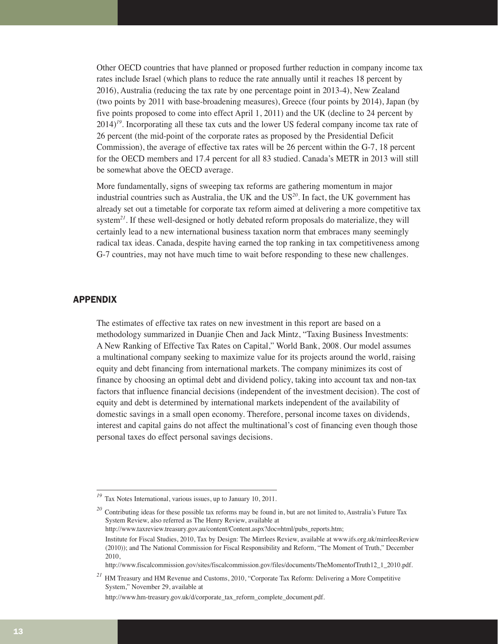Other OECD countries that have planned or proposed further reduction in company income tax rates include Israel (which plans to reduce the rate annually until it reaches 18 percent by 2016), Australia (reducing the tax rate by one percentage point in 2013-4), New Zealand (two points by 2011 with base-broadening measures), Greece (four points by 2014), Japan (by five points proposed to come into effect April 1, 2011) and the UK (decline to 24 percent by 2014)*<sup>19</sup>*. Incorporating all these tax cuts and the lower US federal company income tax rate of 26 percent (the mid-point of the corporate rates as proposed by the Presidential Deficit Commission), the average of effective tax rates will be 26 percent within the G-7, 18 percent for the OECD members and 17.4 percent for all 83 studied. Canada's METR in 2013 will still be somewhat above the OECD average.

More fundamentally, signs of sweeping tax reforms are gathering momentum in major industrial countries such as Australia, the UK and the US*<sup>20</sup>*. In fact, the UK government has already set out a timetable for corporate tax reform aimed at delivering a more competitive tax system<sup>21</sup>. If these well-designed or hotly debated reform proposals do materialize, they will certainly lead to a new international business taxation norm that embraces many seemingly radical tax ideas. Canada, despite having earned the top ranking in tax competitiveness among G-7 countries, may not have much time to wait before responding to these new challenges.

#### APPENDIX

The estimates of effective tax rates on new investment in this report are based on a methodology summarized in Duanjie Chen and Jack Mintz, "Taxing Business Investments: A New Ranking of Effective Tax Rates on Capital," World Bank, 2008. Our model assumes a multinational company seeking to maximize value for its projects around the world, raising equity and debt financing from international markets. The company minimizes its cost of finance by choosing an optimal debt and dividend policy, taking into account tax and non-tax factors that influence financial decisions (independent of the investment decision). The cost of equity and debt is determined by international markets independent of the availability of domestic savings in a small open economy. Therefore, personal income taxes on dividends, interest and capital gains do not affect the multinational's cost of financing even though those personal taxes do effect personal savings decisions.

http://www.fiscalcommission.gov/sites/fiscalcommission.gov/files/documents/TheMomentofTruth12\_1\_2010.pdf.

*<sup>19</sup>* Tax Notes International, various issues, up to January 10, 2011.

*<sup>20</sup>* Contributing ideas for these possible tax reforms may be found in, but are not limited to, Australia's Future Tax System Review, also referred as The Henry Review, available at http://www.taxreview.treasury.gov.au/content/Content.aspx?doc=html/pubs\_reports.htm; Institute for Fiscal Studies, 2010, Tax by Design: The Mirrlees Review, available at www.ifs.org.uk/mirrleesReview (2010)); and The National Commission for Fiscal Responsibility and Reform, "The Moment of Truth," December 2010,

*<sup>21</sup>* HM Treasury and HM Revenue and Customs, 2010, "Corporate Tax Reform: Delivering a More Competitive System," November 29, available at

http://www.hm-treasury.gov.uk/d/corporate\_tax\_reform\_complete\_document.pdf.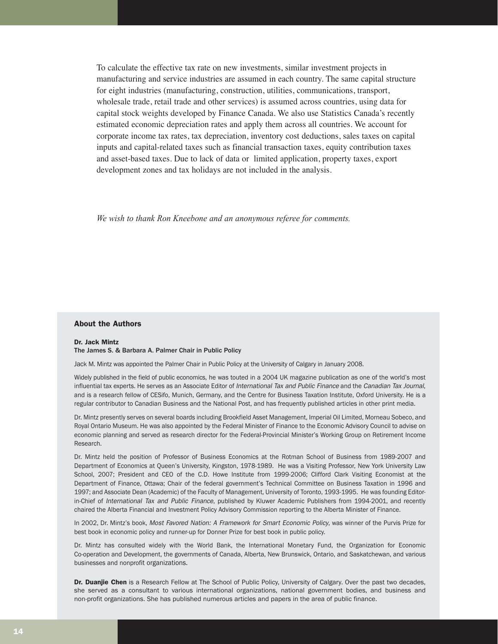To calculate the effective tax rate on new investments, similar investment projects in manufacturing and service industries are assumed in each country. The same capital structure for eight industries (manufacturing, construction, utilities, communications, transport, wholesale trade, retail trade and other services) is assumed across countries, using data for capital stock weights developed by Finance Canada. We also use Statistics Canada's recently estimated economic depreciation rates and apply them across all countries. We account for corporate income tax rates, tax depreciation, inventory cost deductions, sales taxes on capital inputs and capital-related taxes such as financial transaction taxes, equity contribution taxes and asset-based taxes. Due to lack of data or limited application, property taxes, export development zones and tax holidays are not included in the analysis.

*We wish to thank Ron Kneebone and an anonymous referee for comments.*

#### About the Authors

#### Dr. Jack Mintz

#### The James S. & Barbara A. Palmer Chair in Public Policy

Jack M. Mintz was appointed the Palmer Chair in Public Policy at the University of Calgary in January 2008.

Widely published in the field of public economics, he was touted in a 2004 UK magazine publication as one of the world's most influential tax experts. He serves as an Associate Editor of International Tax and Public Finance and the Canadian Tax Journal, and is a research fellow of CESifo, Munich, Germany, and the Centre for Business Taxation Institute, Oxford University. He is a regular contributor to Canadian Business and the National Post, and has frequently published articles in other print media.

Dr. Mintz presently serves on several boards including Brookfield Asset Management, Imperial Oil Limited, Morneau Sobeco, and Royal Ontario Museum. He was also appointed by the Federal Minister of Finance to the Economic Advisory Council to advise on economic planning and served as research director for the Federal-Provincial Minister's Working Group on Retirement Income Research.

Dr. Mintz held the position of Professor of Business Economics at the Rotman School of Business from 1989-2007 and Department of Economics at Queen's University, Kingston, 1978-1989. He was a Visiting Professor, New York University Law School, 2007; President and CEO of the C.D. Howe Institute from 1999-2006; Clifford Clark Visiting Economist at the Department of Finance, Ottawa; Chair of the federal government's Technical Committee on Business Taxation in 1996 and 1997; and Associate Dean (Academic) of the Faculty of Management, University of Toronto, 1993-1995. He was founding Editorin-Chief of International Tax and Public Finance, published by Kluwer Academic Publishers from 1994-2001, and recently chaired the Alberta Financial and Investment Policy Advisory Commission reporting to the Alberta Minister of Finance.

In 2002, Dr. Mintz's book, Most Favored Nation: A Framework for Smart Economic Policy, was winner of the Purvis Prize for best book in economic policy and runner-up for Donner Prize for best book in public policy.

Dr. Mintz has consulted widely with the World Bank, the International Monetary Fund, the Organization for Economic Co-operation and Development, the governments of Canada, Alberta, New Brunswick, Ontario, and Saskatchewan, and various businesses and nonprofit organizations.

Dr. Duanjie Chen is a Research Fellow at The School of Public Policy, University of Calgary. Over the past two decades, she served as a consultant to various international organizations, national government bodies, and business and non-profit organizations. She has published numerous articles and papers in the area of public finance.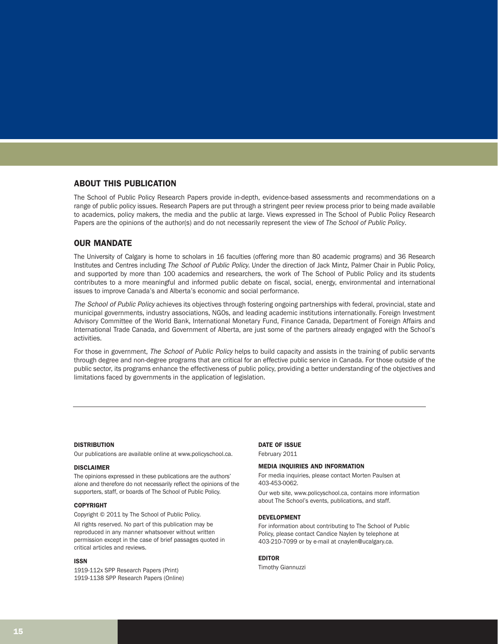#### ABOUT THIS PUBLICATION

The School of Public Policy Research Papers provide in-depth, evidence-based assessments and recommendations on a range of public policy issues. Research Papers are put through a stringent peer review process prior to being made available to academics, policy makers, the media and the public at large. Views expressed in The School of Public Policy Research Papers are the opinions of the author(s) and do not necessarily represent the view of *The School of Public Policy*.

#### OUR MANDATE

The University of Calgary is home to scholars in 16 faculties (offering more than 80 academic programs) and 36 Research Institutes and Centres including The School of Public Policy. Under the direction of Jack Mintz, Palmer Chair in Public Policy, and supported by more than 100 academics and researchers, the work of The School of Public Policy and its students contributes to a more meaningful and informed public debate on fiscal, social, energy, environmental and international issues to improve Canada's and Alberta's economic and social performance.

The School of Public Policy achieves its objectives through fostering ongoing partnerships with federal, provincial, state and municipal governments, industry associations, NGOs, and leading academic institutions internationally. Foreign Investment Advisory Committee of the World Bank, International Monetary Fund, Finance Canada, Department of Foreign Affairs and International Trade Canada, and Government of Alberta, are just some of the partners already engaged with the School's activities.

For those in government, The School of Public Policy helps to build capacity and assists in the training of public servants through degree and non-degree programs that are critical for an effective public service in Canada. For those outside of the public sector, its programs enhance the effectiveness of public policy, providing a better understanding of the objectives and limitations faced by governments in the application of legislation.

#### **DISTRIBUTION**

Our publications are available online at www.policyschool.ca.

#### DISCLAIMER

The opinions expressed in these publications are the authors' alone and therefore do not necessarily reflect the opinions of the supporters, staff, or boards of The School of Public Policy.

#### COPYRIGHT

Copyright © 2011 by The School of Public Policy.

All rights reserved. No part of this publication may be reproduced in any manner whatsoever without written permission except in the case of brief passages quoted in critical articles and reviews.

#### ISSN

1919-112x SPP Research Papers (Print) 1919-1138 SPP Research Papers (Online)

#### DATE OF ISSUE

#### February 2011

#### MEDIA INQUIRIES AND INFORMATION

For media inquiries, please contact Morten Paulsen at 403-453-0062.

Our web site, www.policyschool.ca, contains more information about The School's events, publications, and staff.

#### DEVELOPMENT

For information about contributing to The School of Public Policy, please contact Candice Naylen by telephone at 403-210-7099 or by e-mail at cnaylen@ucalgary.ca.

#### EDITOR

Timothy Giannuzzi